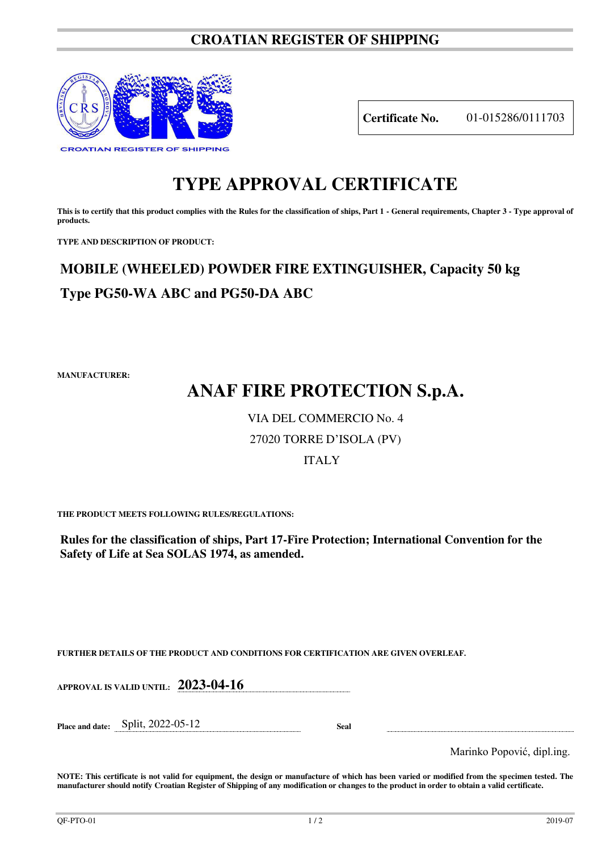### **CROATIAN REGISTER OF SHIPPING**



**Certificate No.** 01-015286/0111703

## **TYPE APPROVAL CERTIFICATE**

This is to certify that this product complies with the Rules for the classification of ships, Part 1 - General requirements, Chapter 3 - Type approval of **products.** 

**TYPE AND DESCRIPTION OF PRODUCT:** 

## **MOBILE (WHEELED) POWDER FIRE EXTINGUISHER, Capacity 50 kg Type PG50-WA ABC and PG50-DA ABC**

**MANUFACTURER:**

# **ANAF FIRE PROTECTION S.p.A.**

### VIA DEL COMMERCIO No. 4

### 27020 TORRE D'ISOLA (PV)

### ITALY

**THE PRODUCT MEETS FOLLOWING RULES/REGULATIONS:**

**Rules for the classification of ships, Part 17-Fire Protection; International Convention for the Safety of Life at Sea SOLAS 1974, as amended.**

**FURTHER DETAILS OF THE PRODUCT AND CONDITIONS FOR CERTIFICATION ARE GIVEN OVERLEAF.**

**APPROVAL IS VALID UNTIL: 2023-04-16**

**Place and date:** Split, 2022-05-12 **Seal** 

Marinko Popović, dipl.ing.

**NOTE: This certificate is not valid for equipment, the design or manufacture of which has been varied or modified from the specimen tested. The manufacturer should notify Croatian Register of Shipping of any modification or changes to the product in order to obtain a valid certificate.**